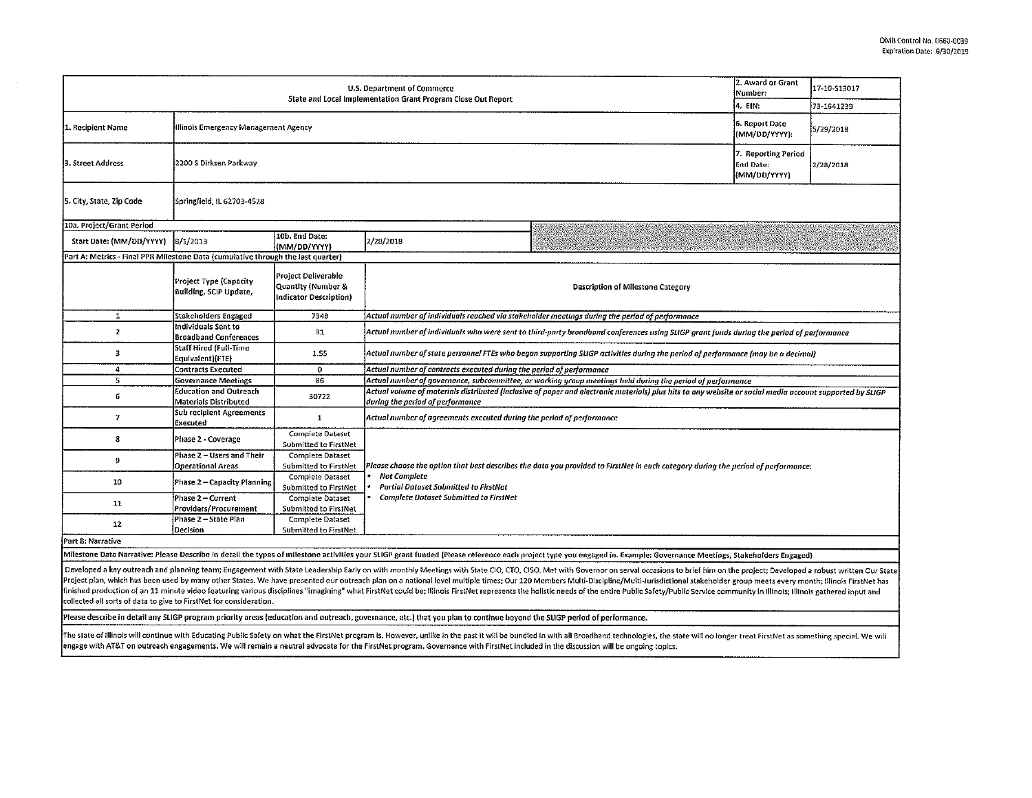| U.S. Department of Commerce                                                      |                                                               |                                                                     |                                                                                                                                                                                              |                                                                                                                                                                                                                                                                                                                                                                                                                                                                  |                                 | I7-10-S13017 |  |  |
|----------------------------------------------------------------------------------|---------------------------------------------------------------|---------------------------------------------------------------------|----------------------------------------------------------------------------------------------------------------------------------------------------------------------------------------------|------------------------------------------------------------------------------------------------------------------------------------------------------------------------------------------------------------------------------------------------------------------------------------------------------------------------------------------------------------------------------------------------------------------------------------------------------------------|---------------------------------|--------------|--|--|
|                                                                                  |                                                               |                                                                     | State and Local Implementation Grant Program Close Out Report                                                                                                                                |                                                                                                                                                                                                                                                                                                                                                                                                                                                                  | 4. EIN:                         | 73-1641239   |  |  |
| 1. Recipient Name                                                                | Illinois Emergency Management Agency                          |                                                                     |                                                                                                                                                                                              |                                                                                                                                                                                                                                                                                                                                                                                                                                                                  | 6. Report Date<br>(MM/DD/YYYY): | 5/29/2018    |  |  |
| 3. Street Address                                                                | 2200 S Dirksen Parkway                                        |                                                                     |                                                                                                                                                                                              |                                                                                                                                                                                                                                                                                                                                                                                                                                                                  |                                 | 2/28/2018    |  |  |
| 5. City, State, Zip Code                                                         | Springfield, IL 62703-4528                                    |                                                                     |                                                                                                                                                                                              |                                                                                                                                                                                                                                                                                                                                                                                                                                                                  |                                 |              |  |  |
| 10a. Project/Grant Period                                                        |                                                               |                                                                     |                                                                                                                                                                                              |                                                                                                                                                                                                                                                                                                                                                                                                                                                                  |                                 |              |  |  |
| Start Date: (MM/DD/YYYY)                                                         | 8/1/2013                                                      | 10b. End Date:<br>(MM/DD/YYYY)                                      | 2/28/2018                                                                                                                                                                                    | SAN SAN SA                                                                                                                                                                                                                                                                                                                                                                                                                                                       |                                 |              |  |  |
| Part A: Metrics - Final PPR Milestone Data (cumulative through the last quarter) |                                                               |                                                                     |                                                                                                                                                                                              |                                                                                                                                                                                                                                                                                                                                                                                                                                                                  |                                 |              |  |  |
|                                                                                  | Project Type (Capacity<br>Building, SCIP Update,              | Project Deliverable<br>Quantity (Number &<br>Indicator Description) |                                                                                                                                                                                              | Description of Milestone Category                                                                                                                                                                                                                                                                                                                                                                                                                                |                                 |              |  |  |
| $\mathbf{1}$                                                                     | Stakeholders Engaged                                          | 7348                                                                | Actual number of individuals reached via stakeholder meetings during the period of performance                                                                                               |                                                                                                                                                                                                                                                                                                                                                                                                                                                                  |                                 |              |  |  |
| $\mathbf{z}$                                                                     | Individuals Sent to<br><b>Broadband Conferences</b>           | 31                                                                  | Actual number of individuals who were sent to third-party broadband conferences using SLIGP grant funds during the period of performance                                                     |                                                                                                                                                                                                                                                                                                                                                                                                                                                                  |                                 |              |  |  |
| з                                                                                | <b>Staff Hired (Full-Time</b><br>Equivalent) (FTE)            | 1.55                                                                | Actual number of state personnel FTEs who began supporting SLIGP activities during the period of performance (may be a decimal)                                                              |                                                                                                                                                                                                                                                                                                                                                                                                                                                                  |                                 |              |  |  |
| 4                                                                                | <b>Contracts Executed</b>                                     | $\circ$                                                             | Actual number of contracts executed during the period of performance                                                                                                                         |                                                                                                                                                                                                                                                                                                                                                                                                                                                                  |                                 |              |  |  |
| 5                                                                                | <b>Governance Meetings</b>                                    | 86                                                                  | Actual number of governance, subcommittee, or working group meetings held during the period of performance                                                                                   |                                                                                                                                                                                                                                                                                                                                                                                                                                                                  |                                 |              |  |  |
| 6                                                                                | <b>Education and Outreach</b><br><b>Materials Distributed</b> | 30722                                                               | Actual volume of materials distributed (inclusive of paper and electronic materials) plus hits to any website or social media account supported by SLIGP<br>during the period of performance |                                                                                                                                                                                                                                                                                                                                                                                                                                                                  |                                 |              |  |  |
| $\boldsymbol{\tau}$                                                              | <b>Sub recipient Agreements</b><br>Executed                   | $\mathbf{1}$                                                        | Actual number of agreements executed during the period of performance                                                                                                                        |                                                                                                                                                                                                                                                                                                                                                                                                                                                                  |                                 |              |  |  |
| 8                                                                                | Phase 2 - Coverage                                            | <b>Complete Dataset</b><br>Submitted to FirstNet                    |                                                                                                                                                                                              |                                                                                                                                                                                                                                                                                                                                                                                                                                                                  |                                 |              |  |  |
| 9                                                                                | Phase 2 - Users and Their<br>Operational Areas                | <b>Complete Dataset</b><br>Submitted to FirstNet                    |                                                                                                                                                                                              | Please choose the option that best describes the data you provided to FirstNet in each category during the period of performance:                                                                                                                                                                                                                                                                                                                                |                                 |              |  |  |
| 10                                                                               | Phase 2 - Capacity Planning                                   | <b>Complete Dataset</b><br>Submitted to FirstNet                    | <b>Not Complete</b><br>Partial Dataset Submitted to FirstNet                                                                                                                                 |                                                                                                                                                                                                                                                                                                                                                                                                                                                                  |                                 |              |  |  |
| 11                                                                               | Phase 2 - Current<br>Providers/Procurement                    | Complete Dataset<br>Submitted to FirstNet                           | <b>Complete Dataset Submitted to FirstNet</b>                                                                                                                                                |                                                                                                                                                                                                                                                                                                                                                                                                                                                                  |                                 |              |  |  |
| 12                                                                               | Phase 2 - State Plan<br>Decision                              | Complete Dataset<br><b>Submitted to FirstNet</b>                    |                                                                                                                                                                                              |                                                                                                                                                                                                                                                                                                                                                                                                                                                                  |                                 |              |  |  |
| Part B: Narrative                                                                |                                                               |                                                                     |                                                                                                                                                                                              |                                                                                                                                                                                                                                                                                                                                                                                                                                                                  |                                 |              |  |  |
|                                                                                  |                                                               |                                                                     |                                                                                                                                                                                              | Milestone Data Narrative: Please Describe in detail the types of milestone activities your SLIGP grant funded (Please reference each project type you engaged in. Example: Governance Meetings, Stakeholders Engaged)                                                                                                                                                                                                                                            |                                 |              |  |  |
|                                                                                  |                                                               |                                                                     |                                                                                                                                                                                              | Developed a key outreach and planning team; Engagement with State Leadership Early on with monthly Meetings with State CIO, CTO, CISO. Met with Governor on serval occasions to brief him on the project; Developed a robust w<br>Project plan, which has been used by many other States. We have presented our outreach plan on a national level multiple times; Our 120 Members Multi-Discipline/Multi-Jurisdictional stakeholder group meets every month; Ill |                                 |              |  |  |

finished production of an 11 minute video featuring various disciplines "imagining" what FirstNet could be; Illinois FirstNet represents the holistic needs of the entire Public Safety/Public Service community in Illinois; collected all sorts of data to give to FirstNet for consideration.

Please describe in detail any SLIGP program priority areas (education and outreach, governance, etc.) that you plan to continue beyond the SUGP period of performance.

The state of Illinois will continue with Educating Public Safety on what the FirstNet program is. However, unlike in the past it will be bundled in with all Broadband technologies, the state will no longer treat FirstNet a engage with AT&T on outreach engagements. We w!II remain a neutral advocate for the FirstNet program. Governance with FirstNet included in the discussion will be ongoing topics.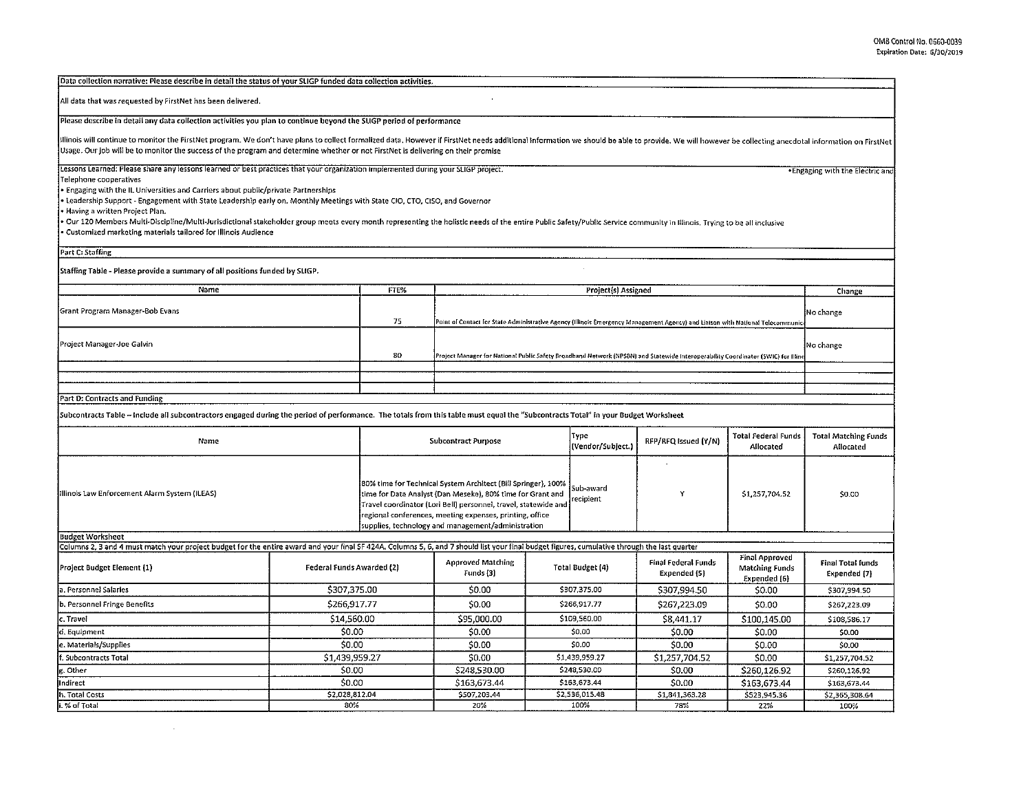| Data collection narrative: Please describe in detail the status of your SLIGP funded data collection activities.                                                                                                                                                                                                                                                    |                                                                                 |                                                                                                                                                                                                                                                                                                                                                 |                                                                                    |                                         |                                          |                                            |                                       |                                          |
|---------------------------------------------------------------------------------------------------------------------------------------------------------------------------------------------------------------------------------------------------------------------------------------------------------------------------------------------------------------------|---------------------------------------------------------------------------------|-------------------------------------------------------------------------------------------------------------------------------------------------------------------------------------------------------------------------------------------------------------------------------------------------------------------------------------------------|------------------------------------------------------------------------------------|-----------------------------------------|------------------------------------------|--------------------------------------------|---------------------------------------|------------------------------------------|
| All data that was requested by FirstNet has been delivered.                                                                                                                                                                                                                                                                                                         |                                                                                 |                                                                                                                                                                                                                                                                                                                                                 |                                                                                    |                                         |                                          |                                            |                                       |                                          |
| Please describe in detail any data collection activities you plan to continue beyond the SLIGP period of performance                                                                                                                                                                                                                                                |                                                                                 |                                                                                                                                                                                                                                                                                                                                                 |                                                                                    |                                         |                                          |                                            |                                       |                                          |
| illinois will continue to monitor the FirstNet program. We don't have plans to collect formalized data. However if FirstNet needs additional information we should be able to provide. We will however be collecting anecdotal<br>Usage. Our job will be to monitor the success of the program and determine whether or not FirstNet is delivering on their promise |                                                                                 |                                                                                                                                                                                                                                                                                                                                                 |                                                                                    |                                         |                                          |                                            |                                       |                                          |
| Lessons Learned: Please share any lessons learned or best practices that your organization implemented during your SLIGP project.                                                                                                                                                                                                                                   |                                                                                 |                                                                                                                                                                                                                                                                                                                                                 |                                                                                    |                                         |                                          |                                            |                                       | . Engaging with the Electric and         |
| Telephone cooperatives                                                                                                                                                                                                                                                                                                                                              |                                                                                 |                                                                                                                                                                                                                                                                                                                                                 |                                                                                    |                                         |                                          |                                            |                                       |                                          |
| Engaging with the IL Universities and Carriers about public/private Partnerships                                                                                                                                                                                                                                                                                    |                                                                                 |                                                                                                                                                                                                                                                                                                                                                 |                                                                                    |                                         |                                          |                                            |                                       |                                          |
| Leadership Support - Engagement with State Leadership early on. Monthly Meetings with State CIO, CTO, CISO, and Governor<br>Having a written Project Plan.                                                                                                                                                                                                          |                                                                                 |                                                                                                                                                                                                                                                                                                                                                 |                                                                                    |                                         |                                          |                                            |                                       |                                          |
| Our 120 Members Multi-Discipline/Multi-Jurisdictional stakeholder group meets every month representing the holistic needs of the entire Public Safety/Public Service community in Illinois. Trying to be all inclusive                                                                                                                                              |                                                                                 |                                                                                                                                                                                                                                                                                                                                                 |                                                                                    |                                         |                                          |                                            |                                       |                                          |
| Customized marketing materials tailored for Illinois Audience                                                                                                                                                                                                                                                                                                       |                                                                                 |                                                                                                                                                                                                                                                                                                                                                 |                                                                                    |                                         |                                          |                                            |                                       |                                          |
| Part C: Staffing                                                                                                                                                                                                                                                                                                                                                    |                                                                                 |                                                                                                                                                                                                                                                                                                                                                 |                                                                                    |                                         |                                          |                                            |                                       |                                          |
| Staffing Table - Please provide a summary of all positions funded by SLIGP.                                                                                                                                                                                                                                                                                         |                                                                                 |                                                                                                                                                                                                                                                                                                                                                 |                                                                                    |                                         |                                          |                                            |                                       |                                          |
| Name                                                                                                                                                                                                                                                                                                                                                                |                                                                                 | <b>FTE%</b>                                                                                                                                                                                                                                                                                                                                     |                                                                                    |                                         | Project(s) Assigned                      |                                            |                                       | Change                                   |
| Grant Program Manager-Bob Evans                                                                                                                                                                                                                                                                                                                                     | 75                                                                              | Point of Contact for State Administrative Agency (Illinois Emergency Management Agency) and Liaison with National Telecommunic                                                                                                                                                                                                                  |                                                                                    |                                         |                                          |                                            | No change                             |                                          |
| Project Manager-Joe Galvin                                                                                                                                                                                                                                                                                                                                          | 80                                                                              | .<br>Project Manager for National Public Safety Broadband Notwork (NPSBN) and Statewide Interoperability Coordinator (SWIC) for Illin                                                                                                                                                                                                           |                                                                                    |                                         |                                          |                                            | No change                             |                                          |
|                                                                                                                                                                                                                                                                                                                                                                     |                                                                                 |                                                                                                                                                                                                                                                                                                                                                 |                                                                                    |                                         |                                          |                                            |                                       |                                          |
|                                                                                                                                                                                                                                                                                                                                                                     |                                                                                 |                                                                                                                                                                                                                                                                                                                                                 |                                                                                    |                                         |                                          |                                            |                                       |                                          |
| Part D: Contracts and Funding                                                                                                                                                                                                                                                                                                                                       |                                                                                 |                                                                                                                                                                                                                                                                                                                                                 |                                                                                    |                                         |                                          |                                            |                                       |                                          |
|                                                                                                                                                                                                                                                                                                                                                                     |                                                                                 |                                                                                                                                                                                                                                                                                                                                                 |                                                                                    |                                         |                                          |                                            |                                       |                                          |
| Subcontracts Table -- Include all subcontractors engaged during the period of performance. The totals from this table must equal the "Subcontracts Total" in your Budget Worksheet                                                                                                                                                                                  |                                                                                 |                                                                                                                                                                                                                                                                                                                                                 |                                                                                    |                                         |                                          |                                            |                                       |                                          |
| Name                                                                                                                                                                                                                                                                                                                                                                | Type<br>RFP/RFQ Issued (Y/N)<br><b>Subcontract Purpose</b><br>(Vendor/Subject.) |                                                                                                                                                                                                                                                                                                                                                 |                                                                                    | <b>Total Federal Funds</b><br>Allocated | <b>Total Matching Funds</b><br>Allocated |                                            |                                       |                                          |
| Illinois Law Enforcement Alarm System (ILEAS)                                                                                                                                                                                                                                                                                                                       |                                                                                 | 80% time for Technical System Architect (Bill Springer), 100%<br>Sub-award<br>time for Data Analyst (Dan Meseke), 80% time for Grant and<br>Y<br>recipient<br>Travel coordinator (Lori Bell) personnel, travel, statewide and<br>regional conferences, meeting expenses, printing, office<br>supplies, technology and management/administration |                                                                                    | \$1,257,704.52                          | \$0.00                                   |                                            |                                       |                                          |
| <b>Budget Worksheet</b>                                                                                                                                                                                                                                                                                                                                             |                                                                                 |                                                                                                                                                                                                                                                                                                                                                 |                                                                                    |                                         |                                          |                                            |                                       |                                          |
| Columns 2, 3 and 4 must match your project budget for the entire award and your final SF 424A. Columns 5, 6, and 7 should list your final budget figures, cumulative through the last quarter                                                                                                                                                                       |                                                                                 |                                                                                                                                                                                                                                                                                                                                                 |                                                                                    |                                         |                                          |                                            | <b>Final Approved</b>                 |                                          |
| Project Budget Element (1)                                                                                                                                                                                                                                                                                                                                          | Federal Funds Awarded (2)                                                       |                                                                                                                                                                                                                                                                                                                                                 | <b>Approved Matching</b><br>Funds (3)                                              | Total Budget (4)                        |                                          | <b>Final Federal Funds</b><br>Expended (5) | <b>Matching Funds</b><br>Expended (6) | <b>Final Total funds</b><br>Expended (7) |
| a. Personnel Salaries                                                                                                                                                                                                                                                                                                                                               | \$307,375.00                                                                    |                                                                                                                                                                                                                                                                                                                                                 | \$0.00                                                                             |                                         | \$307,375.00                             | \$307,994.50                               | \$0.00                                | \$307,994.50                             |
| b. Personnel Fringe Benefits                                                                                                                                                                                                                                                                                                                                        | \$266,917.77                                                                    |                                                                                                                                                                                                                                                                                                                                                 | \$0.00                                                                             | \$266,917.77                            |                                          | \$267,223.09                               | \$0.00                                | \$267,223.09                             |
| c. Travel                                                                                                                                                                                                                                                                                                                                                           | \$14,560.00                                                                     |                                                                                                                                                                                                                                                                                                                                                 | \$95,000.00                                                                        | \$109,560.00                            |                                          | \$8,441.17                                 | \$100.145.00                          | \$108,586.17                             |
| d, Equipment                                                                                                                                                                                                                                                                                                                                                        | \$0.00                                                                          |                                                                                                                                                                                                                                                                                                                                                 | \$0.00                                                                             | \$0.00                                  |                                          | \$0.00                                     | \$0.00                                | \$0.00                                   |
| e. Materials/Supplies                                                                                                                                                                                                                                                                                                                                               | \$0.00                                                                          |                                                                                                                                                                                                                                                                                                                                                 | \$0.00                                                                             | \$0.00                                  |                                          | \$0.00                                     | \$0.00                                | \$0.00                                   |
| , Subcontracts Total                                                                                                                                                                                                                                                                                                                                                | \$1,439,959.27                                                                  |                                                                                                                                                                                                                                                                                                                                                 | \$0.00                                                                             | \$1,439,959.27                          |                                          | \$1,257,704.52                             | \$0.00                                | \$1,257,704.52                           |
| t. Other                                                                                                                                                                                                                                                                                                                                                            | \$0.00                                                                          |                                                                                                                                                                                                                                                                                                                                                 | \$248,530.00                                                                       | \$248,530.00                            |                                          | \$0.00                                     | \$260,126.92                          | \$260,126.92                             |
| ndirect                                                                                                                                                                                                                                                                                                                                                             | \$0.00                                                                          |                                                                                                                                                                                                                                                                                                                                                 | \$163,673.44                                                                       |                                         | \$163,673.44                             | \$0.00                                     | \$163,673.44                          | \$163,673.44                             |
| . Total Costs                                                                                                                                                                                                                                                                                                                                                       | \$2,028,812.04                                                                  |                                                                                                                                                                                                                                                                                                                                                 | \$507,203.44<br>\$2,536,015.48<br>\$1,841,363.28<br>\$523,945.36<br>\$2,365,308.64 |                                         |                                          |                                            |                                       |                                          |
| .% of Total                                                                                                                                                                                                                                                                                                                                                         | 80%                                                                             |                                                                                                                                                                                                                                                                                                                                                 | 20%                                                                                |                                         | 100%                                     | 78%                                        | 22%                                   | 100%                                     |

 $\mathcal{L}^{\text{max}}_{\text{max}}$  , where  $\mathcal{L}^{\text{max}}_{\text{max}}$